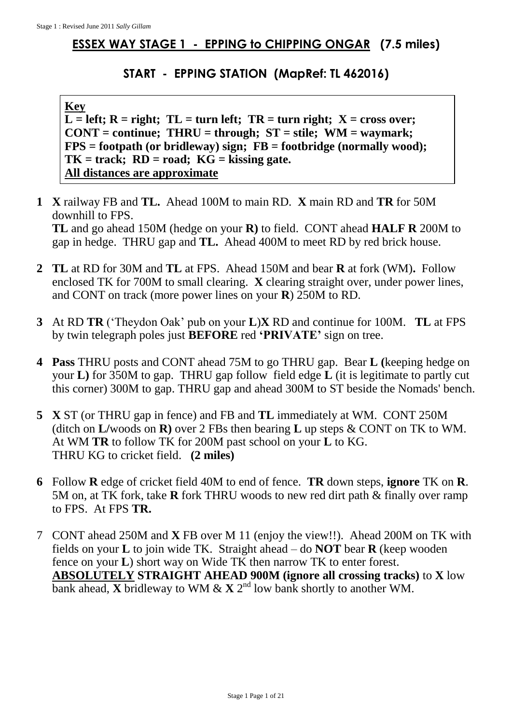## **ESSEX WAY STAGE 1 - EPPING to CHIPPING ONGAR (7.5 miles)**

## **START - EPPING STATION (MapRef: TL 462016)**

## **Key**

 $\overline{L}$  = left;  $R$  = right;  $TL$  = turn left;  $TR$  = turn right;  $X$  = cross over; **CONT = continue; THRU = through; ST = stile; WM = waymark; FPS = footpath (or bridleway) sign; FB = footbridge (normally wood);**  $TK = track$ ;  $RD = road$ ;  $KG = Kissing gate$ . **All distances are approximate**

**1 X** railway FB and **TL.** Ahead 100M to main RD. **X** main RD and **TR** for 50M downhill to FPS.

**TL** and go ahead 150M (hedge on your **R)** to field. CONT ahead **HALF R** 200M to gap in hedge. THRU gap and **TL.** Ahead 400M to meet RD by red brick house.

- **2 TL** at RD for 30M and **TL** at FPS. Ahead 150M and bear **R** at fork (WM)**.** Follow enclosed TK for 700M to small clearing. **X** clearing straight over, under power lines, and CONT on track (more power lines on your **R**) 250M to RD.
- **3** At RD **TR** ('Theydon Oak' pub on your **L**)**X** RD and continue for 100M. **TL** at FPS by twin telegraph poles just **BEFORE** red **'PRIVATE'** sign on tree.
- **4 Pass** THRU posts and CONT ahead 75M to go THRU gap. Bear **L (**keeping hedge on your **L)** for 350M to gap. THRU gap follow field edge **L** (it is legitimate to partly cut this corner) 300M to gap. THRU gap and ahead 300M to ST beside the Nomads' bench.
- **5 X** ST (or THRU gap in fence) and FB and **TL** immediately at WM. CONT 250M (ditch on **L/**woods on **R)** over 2 FBs then bearing **L** up steps & CONT on TK to WM. At WM **TR** to follow TK for 200M past school on your **L** to KG. THRU KG to cricket field. **(2 miles)**
- **6** Follow **R** edge of cricket field 40M to end of fence. **TR** down steps, **ignore** TK on **R**. 5M on, at TK fork, take **R** fork THRU woods to new red dirt path & finally over ramp to FPS. At FPS **TR.**
- 7 CONT ahead 250M and **X** FB over M 11 (enjoy the view!!). Ahead 200M on TK with fields on your **L** to join wide TK. Straight ahead – do **NOT** bear **R** (keep wooden fence on your **L**) short way on Wide TK then narrow TK to enter forest. **ABSOLUTELY STRAIGHT AHEAD 900M (ignore all crossing tracks)** to **X** low bank ahead, **X** bridleway to WM & **X** 2<sup>nd</sup> low bank shortly to another WM.